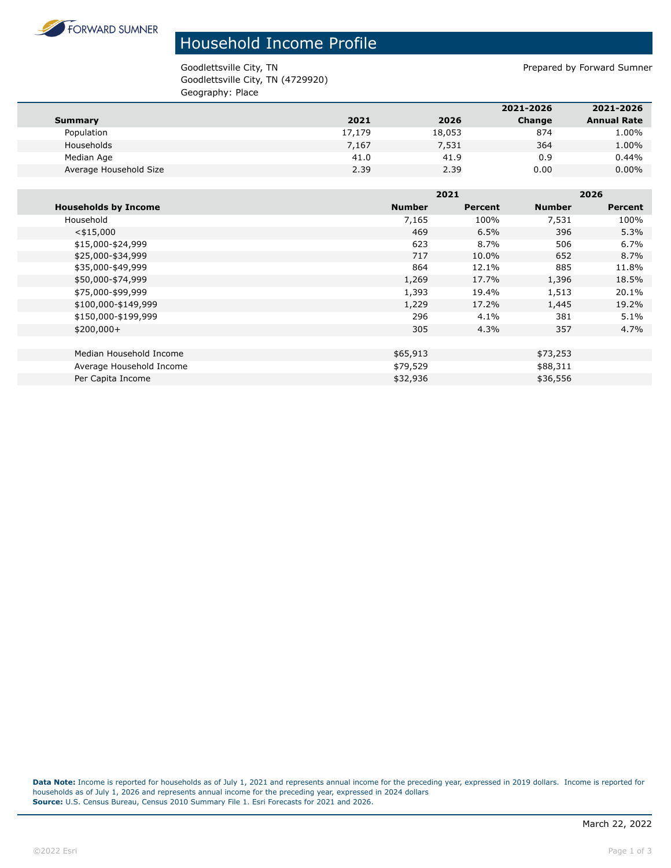

## Household Income Profile

Goodlettsville City, TN 6000 and TN Prepared by Forward Sumner Goodlettsville City, TN (4729920) Geography: Place

|                        |        |        | 2021-2026 | 2021-2026          |
|------------------------|--------|--------|-----------|--------------------|
| Summary                | 2021   | 2026   | Change    | <b>Annual Rate</b> |
| Population             | 17,179 | 18,053 | 874       | 1.00%              |
| Households             | 7,167  | 7,531  | 364       | 1.00%              |
| Median Age             | 41.0   | 41.9   | 0.9       | 0.44%              |
| Average Household Size | 2.39   | 2.39   | 0.00      | $0.00\%$           |
|                        |        |        |           |                    |

|                             |               | 2021    |               | 2026           |  |
|-----------------------------|---------------|---------|---------------|----------------|--|
| <b>Households by Income</b> | <b>Number</b> | Percent | <b>Number</b> | <b>Percent</b> |  |
| Household                   | 7,165         | 100%    | 7,531         | 100%           |  |
| $<$ \$15,000                | 469           | 6.5%    | 396           | 5.3%           |  |
| \$15,000-\$24,999           | 623           | 8.7%    | 506           | 6.7%           |  |
| \$25,000-\$34,999           | 717           | 10.0%   | 652           | 8.7%           |  |
| \$35,000-\$49,999           | 864           | 12.1%   | 885           | 11.8%          |  |
| \$50,000-\$74,999           | 1,269         | 17.7%   | 1,396         | 18.5%          |  |
| \$75,000-\$99,999           | 1,393         | 19.4%   | 1,513         | 20.1%          |  |
| \$100,000-\$149,999         | 1,229         | 17.2%   | 1,445         | 19.2%          |  |
| \$150,000-\$199,999         | 296           | 4.1%    | 381           | 5.1%           |  |
| $$200,000+$                 | 305           | 4.3%    | 357           | 4.7%           |  |
|                             |               |         |               |                |  |
| Median Household Income     | \$65,913      |         | \$73,253      |                |  |
| Average Household Income    | \$79,529      |         | \$88,311      |                |  |
| Per Capita Income           | \$32,936      |         | \$36,556      |                |  |

Data Note: Income is reported for households as of July 1, 2021 and represents annual income for the preceding year, expressed in 2019 dollars. Income is reported for households as of July 1, 2026 and represents annual income for the preceding year, expressed in 2024 dollars **Source:** U.S. Census Bureau, Census 2010 Summary File 1. Esri Forecasts for 2021 and 2026.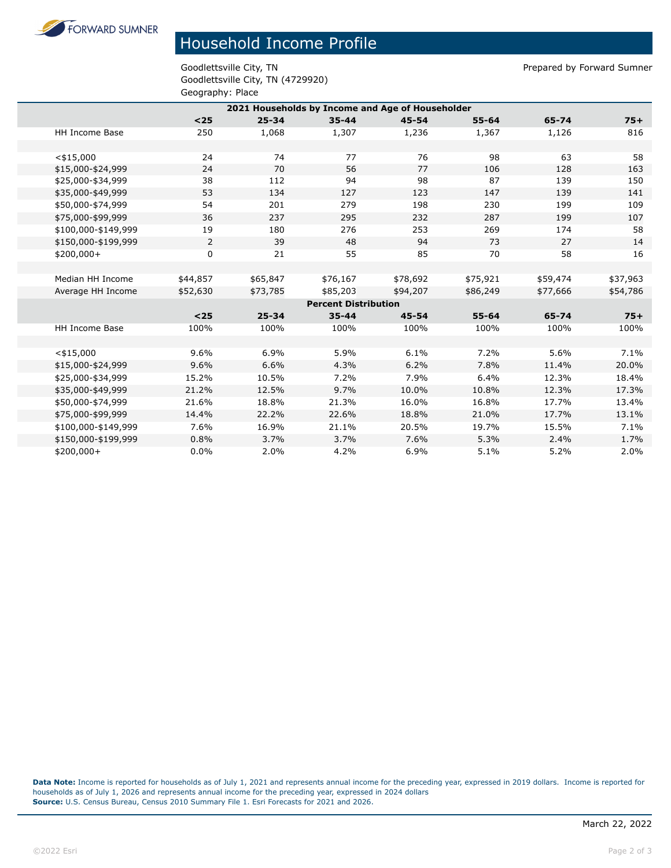**FORWARD SUMNER** 

## Household Income Profile

Goodlettsville City, TN Prepared by Forward Sumner Goodlettsville City, TN (4729920) Geography: Place

| 2021 Households by Income and Age of Householder |          |           |           |           |           |          |          |
|--------------------------------------------------|----------|-----------|-----------|-----------|-----------|----------|----------|
|                                                  | $25$     | $25 - 34$ | $35 - 44$ | $45 - 54$ | $55 - 64$ | 65-74    | $75+$    |
| <b>HH Income Base</b>                            | 250      | 1,068     | 1,307     | 1,236     | 1,367     | 1,126    | 816      |
|                                                  |          |           |           |           |           |          |          |
| $<$ \$15,000                                     | 24       | 74        | 77        | 76        | 98        | 63       | 58       |
| \$15,000-\$24,999                                | 24       | 70        | 56        | 77        | 106       | 128      | 163      |
| \$25,000-\$34,999                                | 38       | 112       | 94        | 98        | 87        | 139      | 150      |
| \$35,000-\$49,999                                | 53       | 134       | 127       | 123       | 147       | 139      | 141      |
| \$50,000-\$74,999                                | 54       | 201       | 279       | 198       | 230       | 199      | 109      |
| \$75,000-\$99,999                                | 36       | 237       | 295       | 232       | 287       | 199      | 107      |
| \$100,000-\$149,999                              | 19       | 180       | 276       | 253       | 269       | 174      | 58       |
| \$150,000-\$199,999                              | 2        | 39        | 48        | 94        | 73        | 27       | 14       |
| $$200,000+$                                      | 0        | 21        | 55        | 85        | 70        | 58       | 16       |
|                                                  |          |           |           |           |           |          |          |
| Median HH Income                                 | \$44,857 | \$65,847  | \$76,167  | \$78,692  | \$75,921  | \$59,474 | \$37,963 |
| Average HH Income                                | \$52,630 | \$73,785  | \$85,203  | \$94,207  | \$86,249  | \$77,666 | \$54,786 |
| <b>Percent Distribution</b>                      |          |           |           |           |           |          |          |
|                                                  | $25$     | $25 - 34$ | $35 - 44$ | $45 - 54$ | $55 - 64$ | 65-74    | $75+$    |
| HH Income Base                                   | 100%     | 100%      | 100%      | 100%      | 100%      | 100%     | 100%     |
|                                                  |          |           |           |           |           |          |          |
| $<$ \$15,000                                     | 9.6%     | 6.9%      | 5.9%      | 6.1%      | 7.2%      | 5.6%     | 7.1%     |
| \$15,000-\$24,999                                | 9.6%     | 6.6%      | 4.3%      | 6.2%      | 7.8%      | 11.4%    | 20.0%    |
| \$25,000-\$34,999                                | 15.2%    | 10.5%     | 7.2%      | 7.9%      | 6.4%      | 12.3%    | 18.4%    |
| \$35,000-\$49,999                                | 21.2%    | 12.5%     | 9.7%      | 10.0%     | 10.8%     | 12.3%    | 17.3%    |
| \$50,000-\$74,999                                | 21.6%    | 18.8%     | 21.3%     | 16.0%     | 16.8%     | 17.7%    | 13.4%    |
| \$75,000-\$99,999                                | 14.4%    | 22.2%     | 22.6%     | 18.8%     | 21.0%     | 17.7%    | 13.1%    |
| \$100,000-\$149,999                              | 7.6%     | 16.9%     | 21.1%     | 20.5%     | 19.7%     | 15.5%    | 7.1%     |
| \$150,000-\$199,999                              | 0.8%     | 3.7%      | 3.7%      | 7.6%      | 5.3%      | 2.4%     | 1.7%     |
| \$200,000+                                       | 0.0%     | 2.0%      | 4.2%      | 6.9%      | 5.1%      | 5.2%     | 2.0%     |

**Data Note:** Income is reported for households as of July 1, 2021 and represents annual income for the preceding year, expressed in 2019 dollars. Income is reported for households as of July 1, 2026 and represents annual income for the preceding year, expressed in 2024 dollars **Source:** U.S. Census Bureau, Census 2010 Summary File 1. Esri Forecasts for 2021 and 2026.